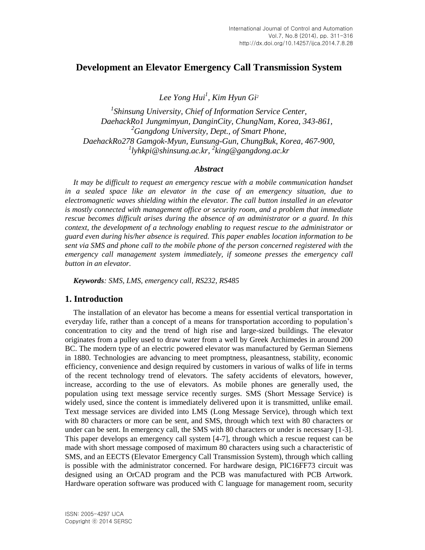# **Development an Elevator Emergency Call Transmission System**

*Lee Yong Hui<sup>1</sup> , Kim Hyun Gi<sup>2</sup>*

*1 Shinsung University, Chief of Information Service Center, DaehackRo1 Jungmimyun, DanginCity, ChungNam, Korea, 343-861, <sup>2</sup>Gangdong University, Dept., of Smart Phone, DaehackRo278 Gamgok-Myun, Eunsung-Gun, ChungBuk, Korea, 467-900, 1 lyhkpi@shinsung.ac.kr, 2 king@gangdong.ac.kr*

#### *Abstract*

*It may be difficult to request an emergency rescue with a mobile communication handset in a sealed space like an elevator in the case of an emergency situation, due to electromagnetic waves shielding within the elevator. The call button installed in an elevator is mostly connected with management office or security room, and a problem that immediate rescue becomes difficult arises during the absence of an administrator or a guard. In this context, the development of a technology enabling to request rescue to the administrator or guard even during his/her absence is required. This paper enables location information to be sent via SMS and phone call to the mobile phone of the person concerned registered with the emergency call management system immediately, if someone presses the emergency call button in an elevator.*

*Keywords: SMS, LMS, emergency call, RS232, RS485*

### **1. Introduction**

The installation of an elevator has become a means for essential vertical transportation in everyday life, rather than a concept of a means for transportation according to population's concentration to city and the trend of high rise and large-sized buildings. The elevator originates from a pulley used to draw water from a well by Greek Archimedes in around 200 BC. The modern type of an electric powered elevator was manufactured by German Siemens in 1880. Technologies are advancing to meet promptness, pleasantness, stability, economic efficiency, convenience and design required by customers in various of walks of life in terms of the recent technology trend of elevators. The safety accidents of elevators, however, increase, according to the use of elevators. As mobile phones are generally used, the population using text message service recently surges. SMS (Short Message Service) is widely used, since the content is immediately delivered upon it is transmitted, unlike email. Text message services are divided into LMS (Long Message Service), through which text with 80 characters or more can be sent, and SMS, through which text with 80 characters or under can be sent. In emergency call, the SMS with 80 characters or under is necessary [1-3]. This paper develops an emergency call system [4-7], through which a rescue request can be made with short message composed of maximum 80 characters using such a characteristic of SMS, and an EECTS (Elevator Emergency Call Transmission System), through which calling is possible with the administrator concerned. For hardware design, PIC16FF73 circuit was designed using an OrCAD program and the PCB was manufactured with PCB Artwork. Hardware operation software was produced with C language for management room, security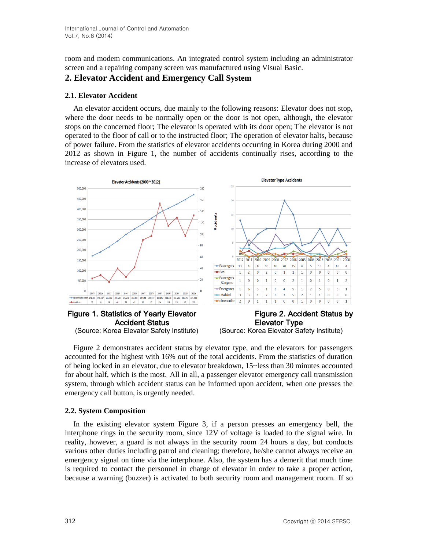room and modem communications. An integrated control system including an administrator screen and a repairing company screen was manufactured using Visual Basic.

## **2. Elevator Accident and Emergency Call System**

#### **2.1. Elevator Accident**

An elevator accident occurs, due mainly to the following reasons: Elevator does not stop, where the door needs to be normally open or the door is not open, although, the elevator stops on the concerned floor; The elevator is operated with its door open; The elevator is not operated to the floor of call or to the instructed floor; The operation of elevator halts, because of power failure. From the statistics of elevator accidents occurring in Korea during 2000 and 2012 as shown in Figure 1, the number of accidents continually rises, according to the increase of elevators used.



### Accident Status **Elevator Type** (Source: Korea Elevator Safety Institute) (Source: Korea Elevator Safety Institute)

Figure 2 demonstrates accident status by elevator type, and the elevators for passengers accounted for the highest with 16% out of the total accidents. From the statistics of duration of being locked in an elevator, due to elevator breakdown, 15~less than 30 minutes accounted for about half, which is the most. All in all, a passenger elevator emergency call transmission system, through which accident status can be informed upon accident, when one presses the emergency call button, is urgently needed.

### **2.2. System Composition**

In the existing elevator system Figure 3, if a person presses an emergency bell, the interphone rings in the security room, since 12V of voltage is loaded to the signal wire. In reality, however, a guard is not always in the security room 24 hours a day, but conducts various other duties including patrol and cleaning; therefore, he/she cannot always receive an emergency signal on time via the interphone. Also, the system has a demerit that much time is required to contact the personnel in charge of elevator in order to take a proper action, because a warning (buzzer) is activated to both security room and management room. If so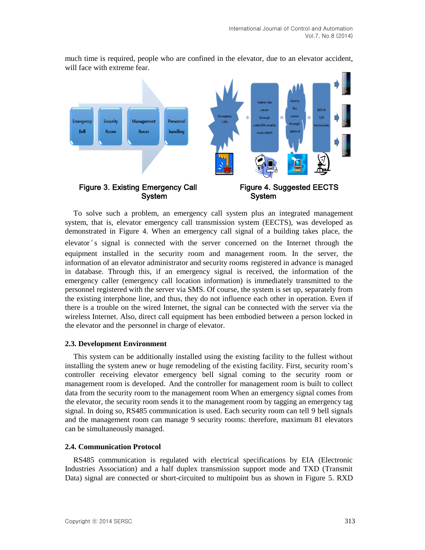

much time is required, people who are confined in the elevator, due to an elevator accident, will face with extreme fear.

To solve such a problem, an emergency call system plus an integrated management system, that is, elevator emergency call transmission system (EECTS), was developed as demonstrated in Figure 4. When an emergency call signal of a building takes place, the elevator 's signal is connected with the server concerned on the Internet through the equipment installed in the security room and management room. In the server, the information of an elevator administrator and security rooms registered in advance is managed in database. Through this, if an emergency signal is received, the information of the emergency caller (emergency call location information) is immediately transmitted to the personnel registered with the server via SMS. Of course, the system is set up, separately from the existing interphone line, and thus, they do not influence each other in operation. Even if there is a trouble on the wired Internet, the signal can be connected with the server via the wireless Internet. Also, direct call equipment has been embodied between a person locked in the elevator and the personnel in charge of elevator.

#### **2.3. Development Environment**

This system can be additionally installed using the existing facility to the fullest without installing the system anew or huge remodeling of the existing facility. First, security room's controller receiving elevator emergency bell signal coming to the security room or management room is developed. And the controller for management room is built to collect data from the security room to the management room When an emergency signal comes from the elevator, the security room sends it to the management room by tagging an emergency tag signal. In doing so, RS485 communication is used. Each security room can tell 9 bell signals and the management room can manage 9 security rooms: therefore, maximum 81 elevators can be simultaneously managed.

#### **2.4. Communication Protocol**

RS485 communication is regulated with electrical specifications by EIA (Electronic Industries Association) and a half duplex transmission support mode and TXD (Transmit Data) signal are connected or short-circuited to multipoint bus as shown in Figure 5. RXD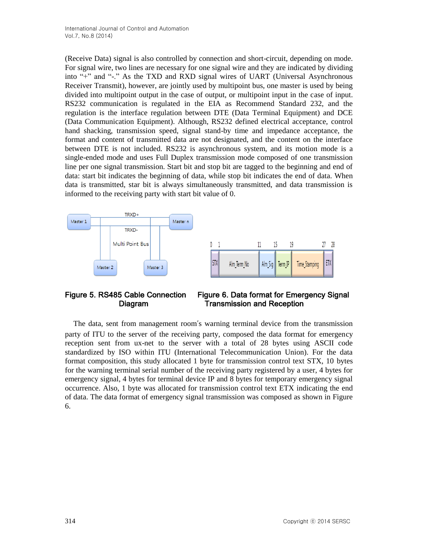(Receive Data) signal is also controlled by connection and short-circuit, depending on mode. For signal wire, two lines are necessary for one signal wire and they are indicated by dividing into "+" and "-." As the TXD and RXD signal wires of UART (Universal Asynchronous Receiver Transmit), however, are jointly used by multipoint bus, one master is used by being divided into multipoint output in the case of output, or multipoint input in the case of input. RS232 communication is regulated in the EIA as Recommend Standard 232, and the regulation is the interface regulation between DTE (Data Terminal Equipment) and DCE (Data Communication Equipment). Although, RS232 defined electrical acceptance, control hand shacking, transmission speed, signal stand-by time and impedance acceptance, the format and content of transmitted data are not designated, and the content on the interface between DTE is not included. RS232 is asynchronous system, and its motion mode is a single-ended mode and uses Full Duplex transmission mode composed of one transmission line per one signal transmission. Start bit and stop bit are tagged to the beginning and end of data: start bit indicates the beginning of data, while stop bit indicates the end of data. When data is transmitted, star bit is always simultaneously transmitted, and data transmission is informed to the receiving party with start bit value of 0.



# Figure 5. RS485 Cable Connection Figure 6. Data format for Emergency Signal Diagram Transmission and Reception

The data, sent from management room's warning terminal device from the transmission party of ITU to the server of the receiving party, composed the data format for emergency reception sent from ux-net to the server with a total of 28 bytes using ASCII code standardized by ISO within ITU (International Telecommunication Union). For the data format composition, this study allocated 1 byte for transmission control text STX, 10 bytes for the warning terminal serial number of the receiving party registered by a user, 4 bytes for emergency signal, 4 bytes for terminal device IP and 8 bytes for temporary emergency signal occurrence. Also, 1 byte was allocated for transmission control text ETX indicating the end of data. The data format of emergency signal transmission was composed as shown in Figure 6.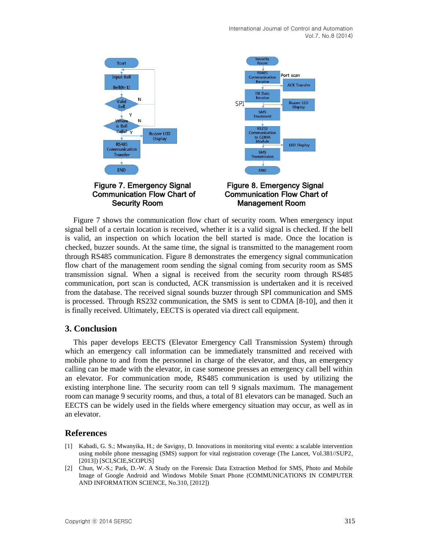

Figure 7 shows the communication flow chart of security room. When emergency input signal bell of a certain location is received, whether it is a valid signal is checked. If the bell is valid, an inspection on which location the bell started is made. Once the location is checked, buzzer sounds. At the same time, the signal is transmitted to the management room through RS485 communication. Figure 8 demonstrates the emergency signal communication flow chart of the management room sending the signal coming from security room as SMS transmission signal. When a signal is received from the security room through RS485 communication, port scan is conducted, ACK transmission is undertaken and it is received from the database. The received signal sounds buzzer through SPI communication and SMS is processed. Through RS232 communication, the SMS is sent to CDMA [8-10], and then it is finally received. Ultimately, EECTS is operated via direct call equipment.

#### **3. Conclusion**

This paper develops EECTS (Elevator Emergency Call Transmission System) through which an emergency call information can be immediately transmitted and received with mobile phone to and from the personnel in charge of the elevator, and thus, an emergency calling can be made with the elevator, in case someone presses an emergency call bell within an elevator. For communication mode, RS485 communication is used by utilizing the existing interphone line. The security room can tell 9 signals maximum. The management room can manage 9 security rooms, and thus, a total of 81 elevators can be managed. Such an EECTS can be widely used in the fields where emergency situation may occur, as well as in an elevator.

#### **References**

- [1] Kabadi, G. S.; Mwanyika, H.; de Savigny, D. Innovations in monitoring vital events: a scalable intervention using mobile phone messaging (SMS) support for vital registration coverage (The Lancet, Vol.381//SUP2, [2013]) [SCI,SCIE,SCOPUS]
- [2] Chun, W.-S.; Park, D.-W. A Study on the Forensic Data Extraction Method for SMS, Photo and Mobile Image of Google Android and Windows Mobile Smart Phone (COMMUNICATIONS IN COMPUTER AND INFORMATION SCIENCE, No.310, [2012])